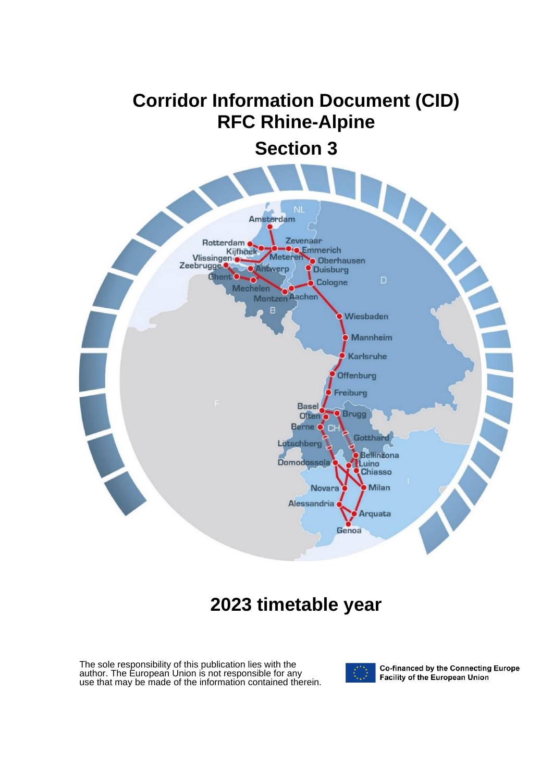# **Corridor Information Document (CID) RFC Rhine-Alpine**

**Section 3**



## **2023 timetable year**

The sole responsibility of this publication lies with the author. The European Union is not responsible for any use that may be made of the information contained therein.



Co-financed by the Connecting Europe Facility of the European Union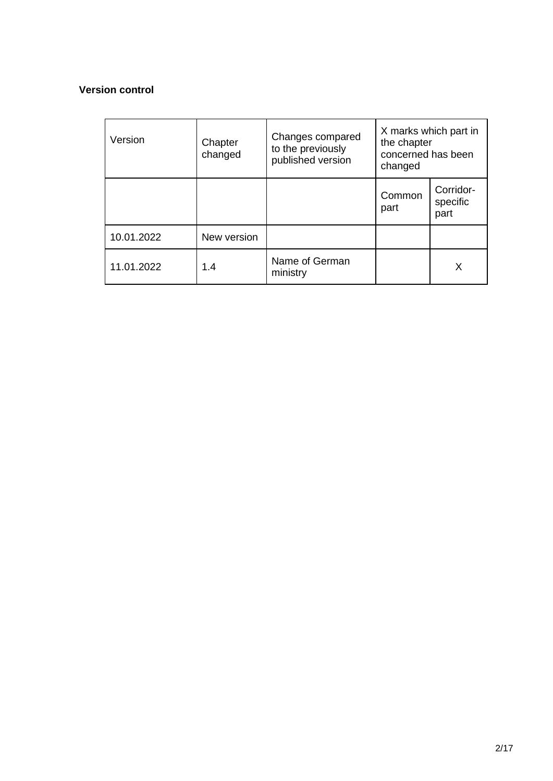#### **Version control**

| Version    | Chapter<br>changed | Changes compared<br>to the previously<br>published version | the chapter<br>concerned has been<br>changed | X marks which part in         |
|------------|--------------------|------------------------------------------------------------|----------------------------------------------|-------------------------------|
|            |                    |                                                            | Common<br>part                               | Corridor-<br>specific<br>part |
| 10.01.2022 | New version        |                                                            |                                              |                               |
| 11.01.2022 | 1.4                | Name of German<br>ministry                                 |                                              | X                             |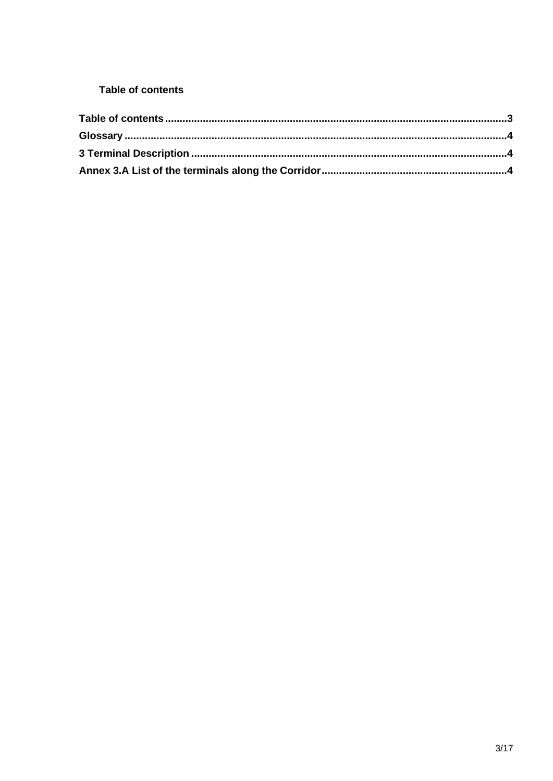## <span id="page-2-0"></span>**Table of contents**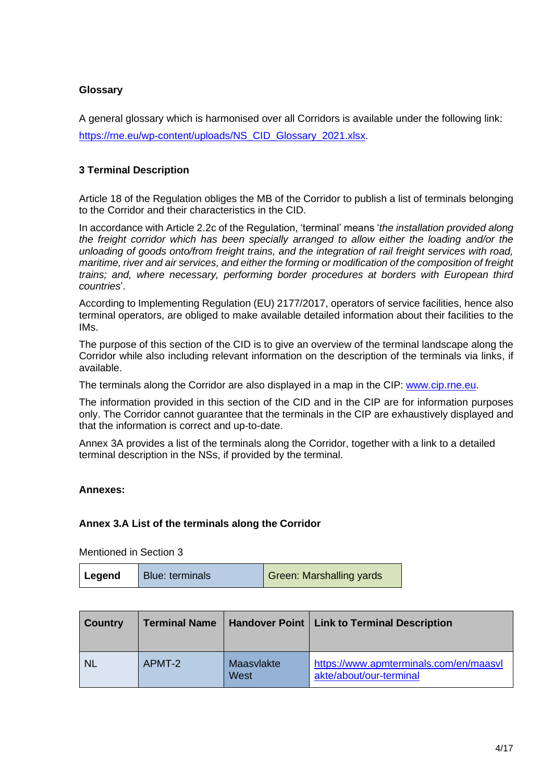## <span id="page-3-0"></span>**Glossary**

A general glossary which is harmonised over all Corridors is available under the following link: [https://rne.eu/wp-content/uploads/NS\\_CID\\_Glossary\\_2021.xlsx.](https://rne.eu/wp-content/uploads/NS_CID_Glossary_2021.xlsx)

#### <span id="page-3-1"></span>**3 Terminal Description**

Article 18 of the Regulation obliges the MB of the Corridor to publish a list of terminals belonging to the Corridor and their characteristics in the CID.

In accordance with Article 2.2c of the Regulation, 'terminal' means '*the installation provided along the freight corridor which has been specially arranged to allow either the loading and/or the unloading of goods onto/from freight trains, and the integration of rail freight services with road, maritime, river and air services, and either the forming or modification of the composition of freight trains; and, where necessary, performing border procedures at borders with European third countries*'.

According to Implementing Regulation (EU) 2177/2017, operators of service facilities, hence also terminal operators, are obliged to make available detailed information about their facilities to the IMs.

The purpose of this section of the CID is to give an overview of the terminal landscape along the Corridor while also including relevant information on the description of the terminals via links, if available.

The terminals along the Corridor are also displayed in a map in the CIP: [www.cip.rne.eu.](http://www.cip.rne.eu/)

The information provided in this section of the CID and in the CIP are for information purposes only. The Corridor cannot guarantee that the terminals in the CIP are exhaustively displayed and that the information is correct and up-to-date.

Annex 3A provides a list of the terminals along the Corridor, together with a link to a detailed terminal description in the NSs, if provided by the terminal.

#### <span id="page-3-2"></span>**Annexes:**

#### **Annex 3.A List of the terminals along the Corridor**

Mentioned in Section 3

| Legend | <b>Blue: terminals</b> | Green: Marshalling yards |
|--------|------------------------|--------------------------|
|--------|------------------------|--------------------------|

| <b>Country</b> | <b>Terminal Name</b> |                    | Handover Point   Link to Terminal Description                     |
|----------------|----------------------|--------------------|-------------------------------------------------------------------|
| <b>NL</b>      | APMT-2               | Maasvlakte<br>West | https://www.apmterminals.com/en/maasvl<br>akte/about/our-terminal |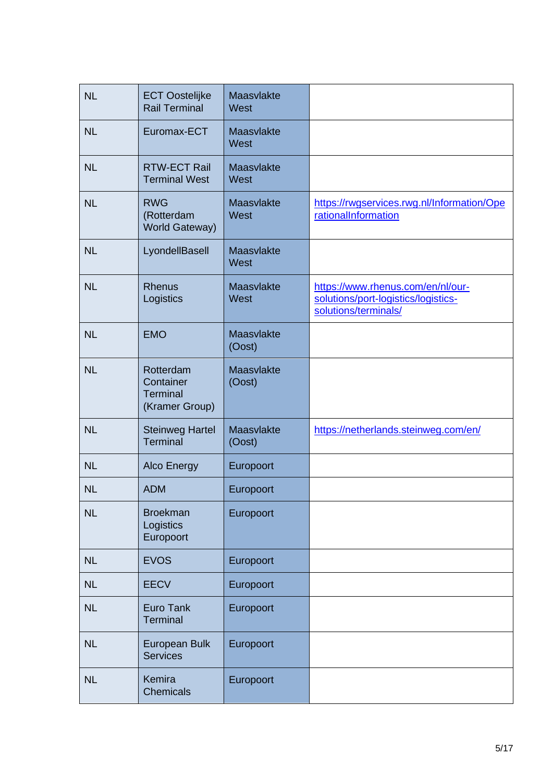| <b>NL</b> | <b>ECT Oostelijke</b><br><b>Rail Terminal</b>               | Maasvlakte<br>West   |                                                                                                  |
|-----------|-------------------------------------------------------------|----------------------|--------------------------------------------------------------------------------------------------|
| <b>NL</b> | Euromax-ECT                                                 | Maasvlakte<br>West   |                                                                                                  |
| <b>NL</b> | <b>RTW-ECT Rail</b><br><b>Terminal West</b>                 | Maasvlakte<br>West   |                                                                                                  |
| <b>NL</b> | <b>RWG</b><br>(Rotterdam<br><b>World Gateway)</b>           | Maasvlakte<br>West   | https://rwgservices.rwg.nl/Information/Ope<br>rationalInformation                                |
| <b>NL</b> | LyondellBasell                                              | Maasvlakte<br>West   |                                                                                                  |
| <b>NL</b> | <b>Rhenus</b><br>Logistics                                  | Maasvlakte<br>West   | https://www.rhenus.com/en/nl/our-<br>solutions/port-logistics/logistics-<br>solutions/terminals/ |
| <b>NL</b> | <b>EMO</b>                                                  | Maasvlakte<br>(Oost) |                                                                                                  |
| <b>NL</b> | Rotterdam<br>Container<br><b>Terminal</b><br>(Kramer Group) | Maasvlakte<br>(Oost) |                                                                                                  |
| <b>NL</b> | <b>Steinweg Hartel</b><br><b>Terminal</b>                   | Maasvlakte<br>(Oost) | https://netherlands.steinweg.com/en/                                                             |
| <b>NL</b> | <b>Alco Energy</b>                                          | Europoort            |                                                                                                  |
| <b>NL</b> | <b>ADM</b>                                                  | Europoort            |                                                                                                  |
| <b>NL</b> | <b>Broekman</b><br>Logistics<br>Europoort                   | Europoort            |                                                                                                  |
| <b>NL</b> | <b>EVOS</b>                                                 | Europoort            |                                                                                                  |
| <b>NL</b> | <b>EECV</b>                                                 | Europoort            |                                                                                                  |
| <b>NL</b> | <b>Euro Tank</b><br>Terminal                                | Europoort            |                                                                                                  |
| <b>NL</b> | <b>European Bulk</b><br><b>Services</b>                     | Europoort            |                                                                                                  |
| <b>NL</b> | Kemira<br><b>Chemicals</b>                                  | Europoort            |                                                                                                  |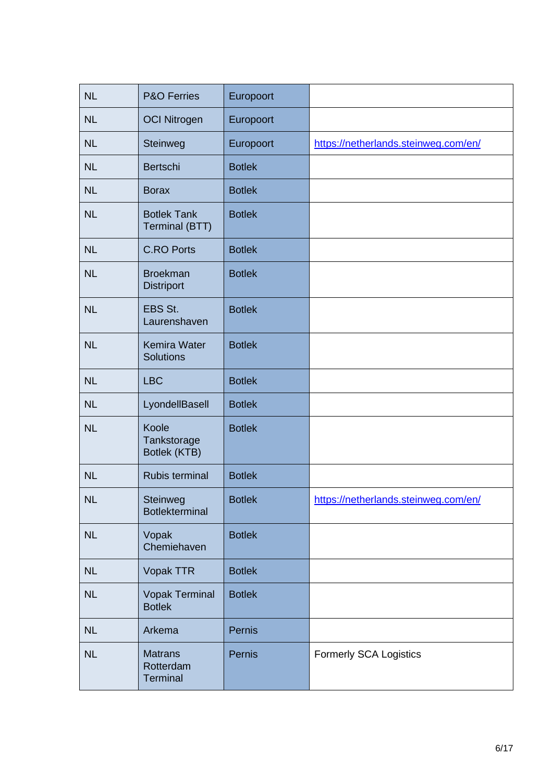| <b>NL</b> | <b>P&amp;O Ferries</b>                         | Europoort     |                                      |
|-----------|------------------------------------------------|---------------|--------------------------------------|
| <b>NL</b> | <b>OCI Nitrogen</b>                            | Europoort     |                                      |
| <b>NL</b> | Steinweg                                       | Europoort     | https://netherlands.steinweg.com/en/ |
| <b>NL</b> | Bertschi                                       | <b>Botlek</b> |                                      |
| <b>NL</b> | <b>Borax</b>                                   | <b>Botlek</b> |                                      |
| <b>NL</b> | <b>Botlek Tank</b><br>Terminal (BTT)           | <b>Botlek</b> |                                      |
| <b>NL</b> | <b>C.RO Ports</b>                              | <b>Botlek</b> |                                      |
| <b>NL</b> | <b>Broekman</b><br><b>Distriport</b>           | <b>Botlek</b> |                                      |
| <b>NL</b> | EBS St.<br>Laurenshaven                        | <b>Botlek</b> |                                      |
| <b>NL</b> | Kemira Water<br><b>Solutions</b>               | <b>Botlek</b> |                                      |
| <b>NL</b> | <b>LBC</b>                                     | <b>Botlek</b> |                                      |
| <b>NL</b> | LyondellBasell                                 | <b>Botlek</b> |                                      |
| <b>NL</b> | Koole<br>Tankstorage<br>Botlek (KTB)           | <b>Botlek</b> |                                      |
| <b>NL</b> | Rubis terminal                                 | <b>Botlek</b> |                                      |
| NL        | Steinweg<br><b>Botlekterminal</b>              | <b>Botlek</b> | https://netherlands.steinweg.com/en/ |
| <b>NL</b> | Vopak<br>Chemiehaven                           | <b>Botlek</b> |                                      |
| NL        | Vopak TTR                                      | <b>Botlek</b> |                                      |
| <b>NL</b> | <b>Vopak Terminal</b><br><b>Botlek</b>         | <b>Botlek</b> |                                      |
| <b>NL</b> | Arkema                                         | Pernis        |                                      |
| <b>NL</b> | <b>Matrans</b><br>Rotterdam<br><b>Terminal</b> | Pernis        | <b>Formerly SCA Logistics</b>        |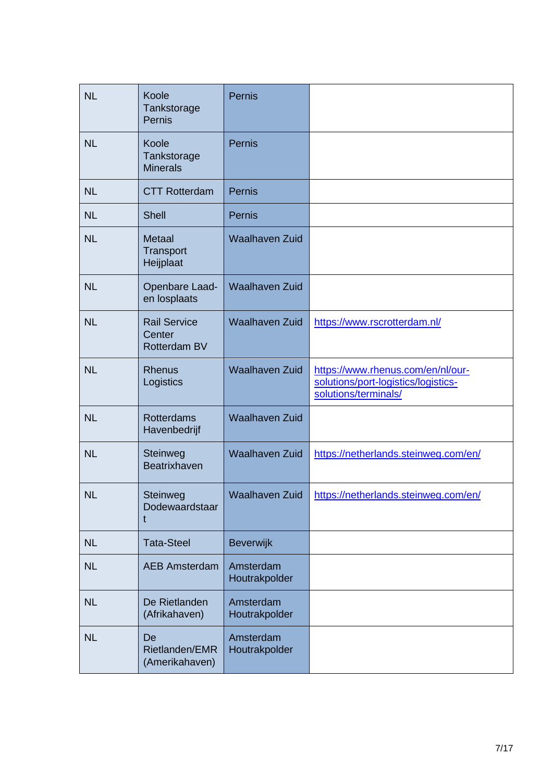| <b>NL</b> | Koole<br>Tankstorage<br>Pernis                | <b>Pernis</b>              |                                                                                                  |
|-----------|-----------------------------------------------|----------------------------|--------------------------------------------------------------------------------------------------|
| <b>NL</b> | Koole<br>Tankstorage<br><b>Minerals</b>       | Pernis                     |                                                                                                  |
| <b>NL</b> | <b>CTT Rotterdam</b>                          | <b>Pernis</b>              |                                                                                                  |
| <b>NL</b> | <b>Shell</b>                                  | Pernis                     |                                                                                                  |
| <b>NL</b> | <b>Metaal</b><br>Transport<br>Heijplaat       | <b>Waalhaven Zuid</b>      |                                                                                                  |
| <b>NL</b> | Openbare Laad-<br>en losplaats                | <b>Waalhaven Zuid</b>      |                                                                                                  |
| <b>NL</b> | <b>Rail Service</b><br>Center<br>Rotterdam BV | <b>Waalhaven Zuid</b>      | https://www.rscrotterdam.nl/                                                                     |
| <b>NL</b> | <b>Rhenus</b><br>Logistics                    | <b>Waalhaven Zuid</b>      | https://www.rhenus.com/en/nl/our-<br>solutions/port-logistics/logistics-<br>solutions/terminals/ |
| <b>NL</b> | <b>Rotterdams</b><br>Havenbedrijf             | <b>Waalhaven Zuid</b>      |                                                                                                  |
| <b>NL</b> | Steinweg<br>Beatrixhaven                      | <b>Waalhaven Zuid</b>      | https://netherlands.steinweg.com/en/                                                             |
| <b>NL</b> | Steinweg<br>Dodewaardstaar                    | Waalhaven Zuid             | https://netherlands.steinweg.com/en/                                                             |
| <b>NL</b> | <b>Tata-Steel</b>                             | Beverwijk                  |                                                                                                  |
| <b>NL</b> | <b>AEB Amsterdam</b>                          | Amsterdam<br>Houtrakpolder |                                                                                                  |
| <b>NL</b> | De Rietlanden<br>(Afrikahaven)                | Amsterdam<br>Houtrakpolder |                                                                                                  |
| <b>NL</b> | De<br>Rietlanden/EMR<br>(Amerikahaven)        | Amsterdam<br>Houtrakpolder |                                                                                                  |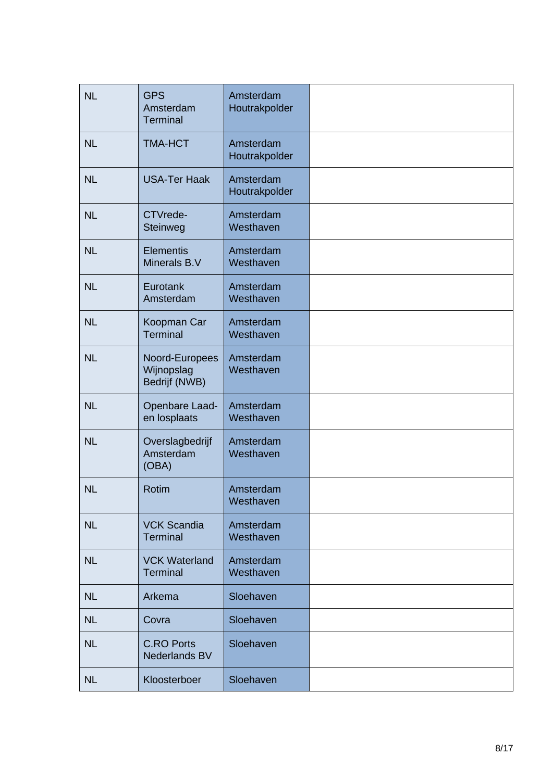| <b>NL</b> | <b>GPS</b><br>Amsterdam<br><b>Terminal</b>    | Amsterdam<br>Houtrakpolder |  |
|-----------|-----------------------------------------------|----------------------------|--|
| <b>NL</b> | <b>TMA-HCT</b>                                | Amsterdam<br>Houtrakpolder |  |
| <b>NL</b> | <b>USA-Ter Haak</b>                           | Amsterdam<br>Houtrakpolder |  |
| <b>NL</b> | CTVrede-<br>Steinweg                          | Amsterdam<br>Westhaven     |  |
| <b>NL</b> | <b>Elementis</b><br>Minerals B.V              | Amsterdam<br>Westhaven     |  |
| <b>NL</b> | Eurotank<br>Amsterdam                         | Amsterdam<br>Westhaven     |  |
| <b>NL</b> | Koopman Car<br><b>Terminal</b>                | Amsterdam<br>Westhaven     |  |
| <b>NL</b> | Noord-Europees<br>Wijnopslag<br>Bedrijf (NWB) | Amsterdam<br>Westhaven     |  |
| <b>NL</b> | Openbare Laad-<br>en losplaats                | Amsterdam<br>Westhaven     |  |
| <b>NL</b> | Overslagbedrijf<br>Amsterdam<br>(OBA)         | Amsterdam<br>Westhaven     |  |
| <b>NL</b> | <b>Rotim</b>                                  | Amsterdam<br>Westhaven     |  |
| <b>NL</b> | <b>VCK Scandia</b><br><b>Terminal</b>         | Amsterdam<br>Westhaven     |  |
| <b>NL</b> | <b>VCK Waterland</b><br><b>Terminal</b>       | Amsterdam<br>Westhaven     |  |
| <b>NL</b> | Arkema                                        | Sloehaven                  |  |
| <b>NL</b> | Covra                                         | Sloehaven                  |  |
| <b>NL</b> | <b>C.RO Ports</b><br><b>Nederlands BV</b>     | Sloehaven                  |  |
| <b>NL</b> | Kloosterboer                                  | Sloehaven                  |  |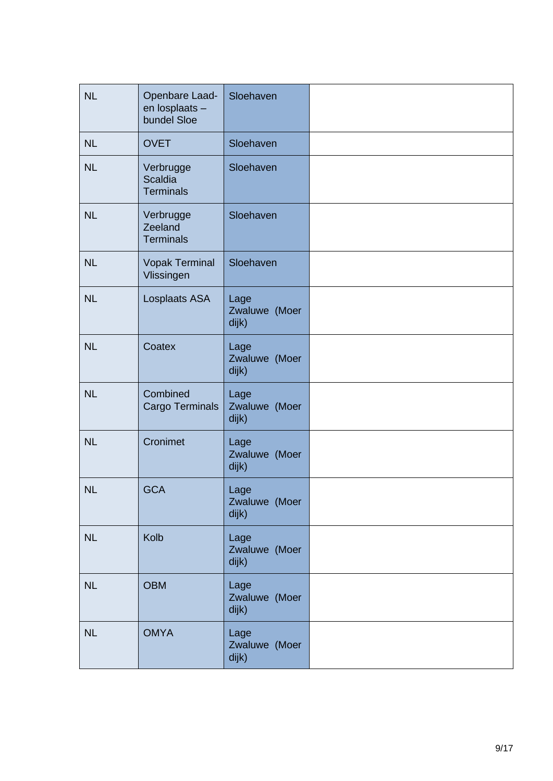| <b>NL</b> | Openbare Laad-<br>en losplaats -<br>bundel Sloe | Sloehaven                      |  |
|-----------|-------------------------------------------------|--------------------------------|--|
| <b>NL</b> | <b>OVET</b>                                     | Sloehaven                      |  |
| <b>NL</b> | Verbrugge<br><b>Scaldia</b><br><b>Terminals</b> | Sloehaven                      |  |
| <b>NL</b> | Verbrugge<br>Zeeland<br><b>Terminals</b>        | Sloehaven                      |  |
| <b>NL</b> | <b>Vopak Terminal</b><br>Vlissingen             | Sloehaven                      |  |
| NL        | Losplaats ASA                                   | Lage<br>Zwaluwe (Moer<br>dijk) |  |
| <b>NL</b> | Coatex                                          | Lage<br>Zwaluwe (Moer<br>dijk) |  |
| <b>NL</b> | Combined<br>Cargo Terminals                     | Lage<br>Zwaluwe (Moer<br>dijk) |  |
| <b>NL</b> | Cronimet                                        | Lage<br>Zwaluwe (Moer<br>dijk) |  |
| <b>NL</b> | <b>GCA</b>                                      | Lage<br>Zwaluwe (Moer<br>dijk) |  |
| <b>NL</b> | Kolb                                            | Lage<br>Zwaluwe (Moer<br>dijk) |  |
| NL        | <b>OBM</b>                                      | Lage<br>Zwaluwe (Moer<br>dijk) |  |
| <b>NL</b> | <b>OMYA</b>                                     | Lage<br>Zwaluwe (Moer<br>dijk) |  |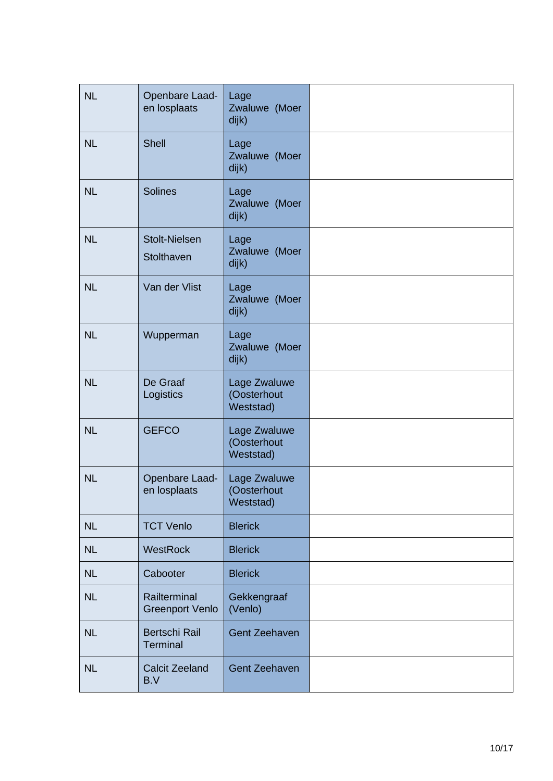| <b>NL</b> | Openbare Laad-<br>en losplaats         | Lage<br>Zwaluwe (Moer<br>dijk)           |  |
|-----------|----------------------------------------|------------------------------------------|--|
| <b>NL</b> | <b>Shell</b>                           | Lage<br>Zwaluwe (Moer<br>dijk)           |  |
| <b>NL</b> | <b>Solines</b>                         | Lage<br>Zwaluwe (Moer<br>dijk)           |  |
| <b>NL</b> | <b>Stolt-Nielsen</b><br>Stolthaven     | Lage<br>Zwaluwe (Moer<br>dijk)           |  |
| <b>NL</b> | Van der Vlist                          | Lage<br>Zwaluwe (Moer<br>dijk)           |  |
| <b>NL</b> | Wupperman                              | Lage<br>Zwaluwe (Moer<br>dijk)           |  |
| <b>NL</b> | De Graaf<br>Logistics                  | Lage Zwaluwe<br>(Oosterhout<br>Weststad) |  |
| <b>NL</b> | <b>GEFCO</b>                           | Lage Zwaluwe<br>(Oosterhout<br>Weststad) |  |
| <b>NL</b> | Openbare Laad-<br>en losplaats         | Lage Zwaluwe<br>(Oosterhout<br>Weststad) |  |
| <b>NL</b> | <b>TCT Venlo</b>                       | <b>Blerick</b>                           |  |
| <b>NL</b> | <b>WestRock</b>                        | <b>Blerick</b>                           |  |
| <b>NL</b> | Cabooter                               | <b>Blerick</b>                           |  |
| <b>NL</b> | Railterminal<br><b>Greenport Venlo</b> | Gekkengraaf<br>(Venlo)                   |  |
| <b>NL</b> | <b>Bertschi Rail</b><br>Terminal       | <b>Gent Zeehaven</b>                     |  |
| <b>NL</b> | <b>Calcit Zeeland</b><br>B.V           | <b>Gent Zeehaven</b>                     |  |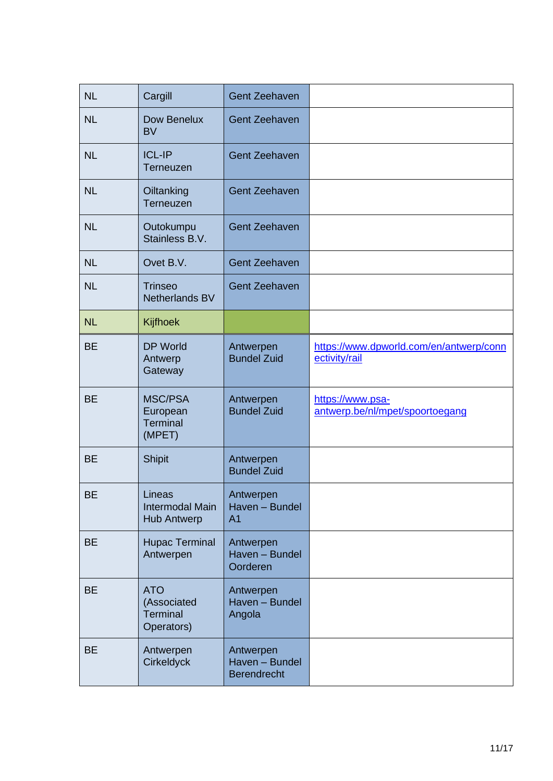| <b>NL</b> | Cargill                                                    | <b>Gent Zeehaven</b>                              |                                                          |
|-----------|------------------------------------------------------------|---------------------------------------------------|----------------------------------------------------------|
| <b>NL</b> | Dow Benelux<br><b>BV</b>                                   | <b>Gent Zeehaven</b>                              |                                                          |
| <b>NL</b> | <b>ICL-IP</b><br>Terneuzen                                 | <b>Gent Zeehaven</b>                              |                                                          |
| <b>NL</b> | Oiltanking<br>Terneuzen                                    | <b>Gent Zeehaven</b>                              |                                                          |
| <b>NL</b> | Outokumpu<br>Stainless B.V.                                | <b>Gent Zeehaven</b>                              |                                                          |
| <b>NL</b> | Ovet B.V.                                                  | <b>Gent Zeehaven</b>                              |                                                          |
| <b>NL</b> | <b>Trinseo</b><br>Netherlands BV                           | <b>Gent Zeehaven</b>                              |                                                          |
| <b>NL</b> | Kijfhoek                                                   |                                                   |                                                          |
| <b>BE</b> | <b>DP World</b><br>Antwerp<br>Gateway                      | Antwerpen<br><b>Bundel Zuid</b>                   | https://www.dpworld.com/en/antwerp/conn<br>ectivity/rail |
| <b>BE</b> | <b>MSC/PSA</b><br>European<br><b>Terminal</b><br>(MPET)    | Antwerpen<br><b>Bundel Zuid</b>                   | https://www.psa-<br>antwerp.be/nl/mpet/spoortoegang      |
| <b>BE</b> | <b>Shipit</b>                                              | Antwerpen<br><b>Bundel Zuid</b>                   |                                                          |
| <b>BE</b> | Lineas<br>Intermodal Main<br><b>Hub Antwerp</b>            | Antwerpen<br>Haven - Bundel<br>A <sub>1</sub>     |                                                          |
| <b>BE</b> | <b>Hupac Terminal</b><br>Antwerpen                         | Antwerpen<br>Haven - Bundel<br>Oorderen           |                                                          |
| <b>BE</b> | <b>ATO</b><br>(Associated<br><b>Terminal</b><br>Operators) | Antwerpen<br>Haven - Bundel<br>Angola             |                                                          |
| <b>BE</b> | Antwerpen<br><b>Cirkeldyck</b>                             | Antwerpen<br>Haven - Bundel<br><b>Berendrecht</b> |                                                          |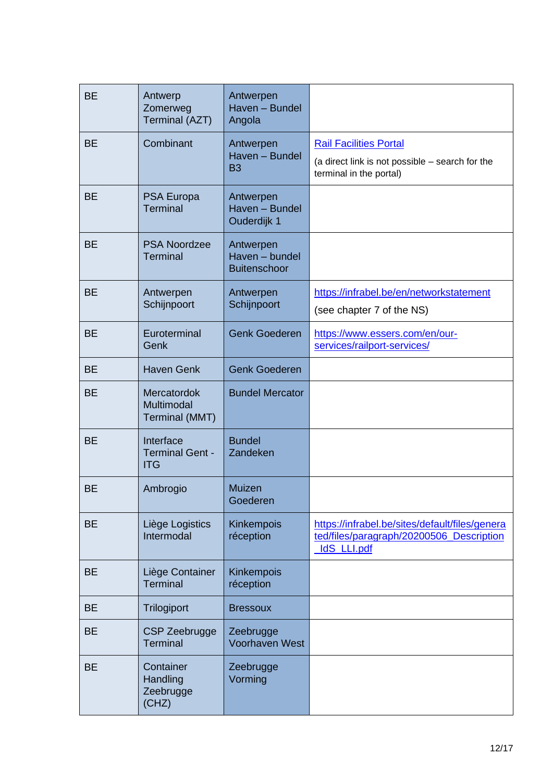| <b>BE</b> | Antwerp<br>Zomerweg<br>Terminal (AZT)              | Antwerpen<br>Haven - Bundel<br>Angola              |                                                                                                           |
|-----------|----------------------------------------------------|----------------------------------------------------|-----------------------------------------------------------------------------------------------------------|
| <b>BE</b> | Combinant                                          | Antwerpen                                          | <b>Rail Facilities Portal</b>                                                                             |
|           |                                                    | Haven - Bundel<br>B <sub>3</sub>                   | (a direct link is not possible – search for the<br>terminal in the portal)                                |
| <b>BE</b> | <b>PSA Europa</b><br><b>Terminal</b>               | Antwerpen<br>Haven - Bundel<br>Ouderdijk 1         |                                                                                                           |
| <b>BE</b> | <b>PSA Noordzee</b><br><b>Terminal</b>             | Antwerpen<br>Haven - bundel<br><b>Buitenschoor</b> |                                                                                                           |
| <b>BE</b> | Antwerpen<br>Schijnpoort                           | Antwerpen<br>Schijnpoort                           | https://infrabel.be/en/networkstatement<br>(see chapter 7 of the NS)                                      |
| <b>BE</b> | Euroterminal<br>Genk                               | <b>Genk Goederen</b>                               | https://www.essers.com/en/our-<br>services/railport-services/                                             |
| <b>BE</b> | <b>Haven Genk</b>                                  | <b>Genk Goederen</b>                               |                                                                                                           |
| <b>BE</b> | Mercatordok<br>Multimodal<br><b>Terminal (MMT)</b> | <b>Bundel Mercator</b>                             |                                                                                                           |
| <b>BE</b> | Interface<br><b>Terminal Gent -</b><br><b>ITG</b>  | <b>Bundel</b><br>Zandeken                          |                                                                                                           |
| <b>BE</b> | Ambrogio                                           | Muizen<br>Goederen                                 |                                                                                                           |
| <b>BE</b> | Liège Logistics<br>Intermodal                      | Kinkempois<br>réception                            | https://infrabel.be/sites/default/files/genera<br>ted/files/paragraph/20200506_Description<br>IdS_LLI.pdf |
| <b>BE</b> | Liège Container<br><b>Terminal</b>                 | Kinkempois<br>réception                            |                                                                                                           |
| <b>BE</b> | Trilogiport                                        | <b>Bressoux</b>                                    |                                                                                                           |
| <b>BE</b> | <b>CSP Zeebrugge</b><br><b>Terminal</b>            | Zeebrugge<br><b>Voorhaven West</b>                 |                                                                                                           |
| <b>BE</b> | Container<br>Handling<br>Zeebrugge<br>(CHZ)        | Zeebrugge<br>Vorming                               |                                                                                                           |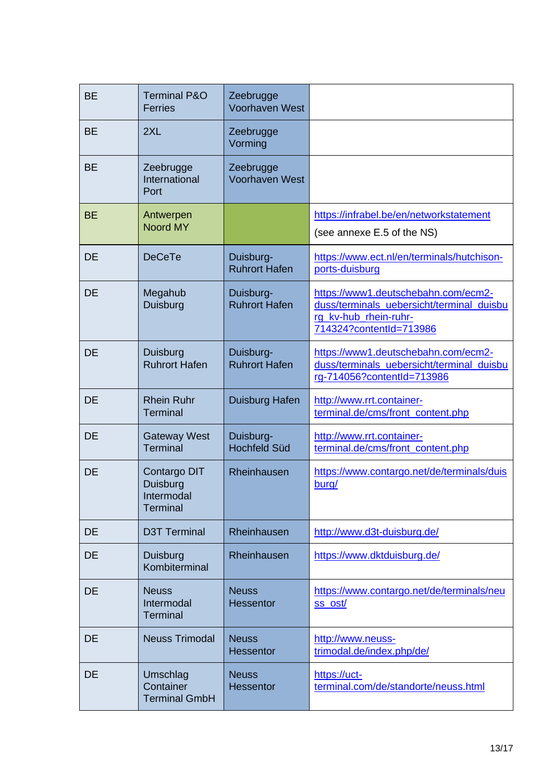| <b>BE</b> | <b>Terminal P&amp;O</b><br><b>Ferries</b>                 | Zeebrugge<br><b>Voorhaven West</b> |                                                                                                                                      |
|-----------|-----------------------------------------------------------|------------------------------------|--------------------------------------------------------------------------------------------------------------------------------------|
| <b>BE</b> | 2XL                                                       | Zeebrugge<br>Vorming               |                                                                                                                                      |
| <b>BE</b> | Zeebrugge<br>International<br>Port                        | Zeebrugge<br><b>Voorhaven West</b> |                                                                                                                                      |
| <b>BE</b> | Antwerpen<br><b>Noord MY</b>                              |                                    | https://infrabel.be/en/networkstatement<br>(see annexe E.5 of the NS)                                                                |
| <b>DE</b> | <b>DeCeTe</b>                                             | Duisburg-<br><b>Ruhrort Hafen</b>  | https://www.ect.nl/en/terminals/hutchison-<br>ports-duisburg                                                                         |
| <b>DE</b> | Megahub<br>Duisburg                                       | Duisburg-<br><b>Ruhrort Hafen</b>  | https://www1.deutschebahn.com/ecm2-<br>duss/terminals_uebersicht/terminal_duisbu<br>rg_kv-hub_rhein-ruhr-<br>714324?contentId=713986 |
| <b>DE</b> | Duisburg<br><b>Ruhrort Hafen</b>                          | Duisburg-<br><b>Ruhrort Hafen</b>  | https://www1.deutschebahn.com/ecm2-<br>duss/terminals_uebersicht/terminal_duisbu<br>rg-714056?contentId=713986                       |
| <b>DE</b> | <b>Rhein Ruhr</b><br><b>Terminal</b>                      | Duisburg Hafen                     | http://www.rrt.container-<br>terminal.de/cms/front_content.php                                                                       |
| DE        | <b>Gateway West</b><br><b>Terminal</b>                    | Duisburg-<br><b>Hochfeld Süd</b>   | http://www.rrt.container-<br>terminal.de/cms/front_content.php                                                                       |
| DE        | Contargo DIT<br>Duisburg<br>Intermodal<br><b>Terminal</b> | Rheinhausen                        | https://www.contargo.net/de/terminals/duis<br>burg/                                                                                  |
| <b>DE</b> | <b>D3T Terminal</b>                                       | Rheinhausen                        | http://www.d3t-duisburg.de/                                                                                                          |
| <b>DE</b> | Duisburg<br>Kombiterminal                                 | Rheinhausen                        | https://www.dktduisburg.de/                                                                                                          |
| <b>DE</b> | <b>Neuss</b><br>Intermodal<br><b>Terminal</b>             | <b>Neuss</b><br><b>Hessentor</b>   | https://www.contargo.net/de/terminals/neu<br>ss ost/                                                                                 |
| <b>DE</b> | <b>Neuss Trimodal</b>                                     | <b>Neuss</b><br><b>Hessentor</b>   | http://www.neuss-<br>trimodal.de/index.php/de/                                                                                       |
| DE        | Umschlag<br>Container<br><b>Terminal GmbH</b>             | <b>Neuss</b><br><b>Hessentor</b>   | https://uct-<br>terminal.com/de/standorte/neuss.html                                                                                 |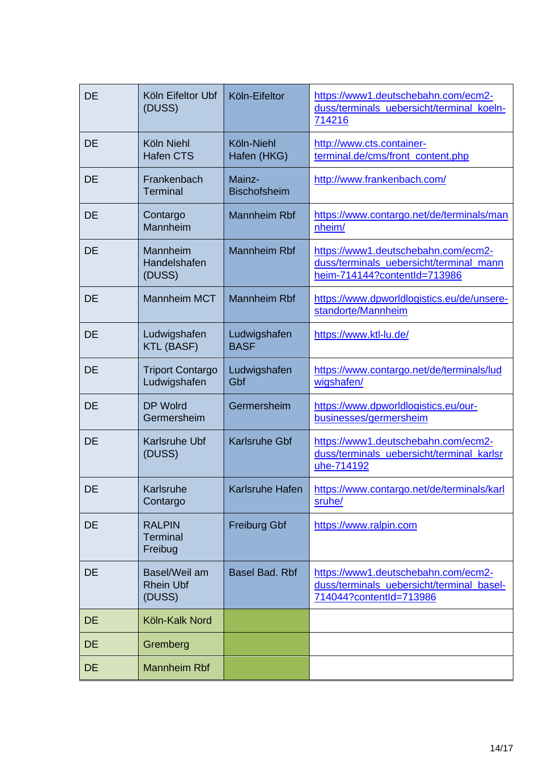| <b>DE</b> | Köln Eifeltor Ubf<br>(DUSS)                 | Köln-Eifeltor                 | https://www1.deutschebahn.com/ecm2-<br>duss/terminals_uebersicht/terminal_koeln-<br>714216                     |
|-----------|---------------------------------------------|-------------------------------|----------------------------------------------------------------------------------------------------------------|
| <b>DE</b> | Köln Niehl<br><b>Hafen CTS</b>              | Köln-Niehl<br>Hafen (HKG)     | http://www.cts.container-<br>terminal.de/cms/front_content.php                                                 |
| <b>DE</b> | Frankenbach<br><b>Terminal</b>              | Mainz-<br><b>Bischofsheim</b> | http://www.frankenbach.com/                                                                                    |
| DE        | Contargo<br>Mannheim                        | <b>Mannheim Rbf</b>           | https://www.contargo.net/de/terminals/man<br>nheim/                                                            |
| <b>DE</b> | Mannheim<br>Handelshafen<br>(DUSS)          | <b>Mannheim Rbf</b>           | https://www1.deutschebahn.com/ecm2-<br>duss/terminals uebersicht/terminal mann<br>heim-714144?contentId=713986 |
| DE        | <b>Mannheim MCT</b>                         | <b>Mannheim Rbf</b>           | https://www.dpworldlogistics.eu/de/unsere-<br>standorte/Mannheim                                               |
| <b>DE</b> | Ludwigshafen<br><b>KTL (BASF)</b>           | Ludwigshafen<br><b>BASF</b>   | https://www.ktl-lu.de/                                                                                         |
| <b>DE</b> | <b>Triport Contargo</b><br>Ludwigshafen     | Ludwigshafen<br>Gbf           | https://www.contargo.net/de/terminals/lud<br>wigshafen/                                                        |
| DE        | <b>DP Wolrd</b><br>Germersheim              | Germersheim                   | https://www.dpworldlogistics.eu/our-<br>businesses/germersheim                                                 |
| <b>DE</b> | <b>Karlsruhe Ubf</b><br>(DUSS)              | <b>Karlsruhe Gbf</b>          | https://www1.deutschebahn.com/ecm2-<br>duss/terminals_uebersicht/terminal_karlsr<br>uhe-714192                 |
| <b>DE</b> | Karlsruhe<br>Contargo                       | <b>Karlsruhe Hafen</b>        | https://www.contargo.net/de/terminals/karl<br>sruhe/                                                           |
| DE        | <b>RALPIN</b><br><b>Terminal</b><br>Freibug | <b>Freiburg Gbf</b>           | https://www.ralpin.com                                                                                         |
| DE        | Basel/Weil am<br><b>Rhein Ubf</b><br>(DUSS) | <b>Basel Bad. Rbf</b>         | https://www1.deutschebahn.com/ecm2-<br>duss/terminals uebersicht/terminal basel-<br>714044?contentId=713986    |
| <b>DE</b> | Köln-Kalk Nord                              |                               |                                                                                                                |
| <b>DE</b> | Gremberg                                    |                               |                                                                                                                |
| <b>DE</b> | <b>Mannheim Rbf</b>                         |                               |                                                                                                                |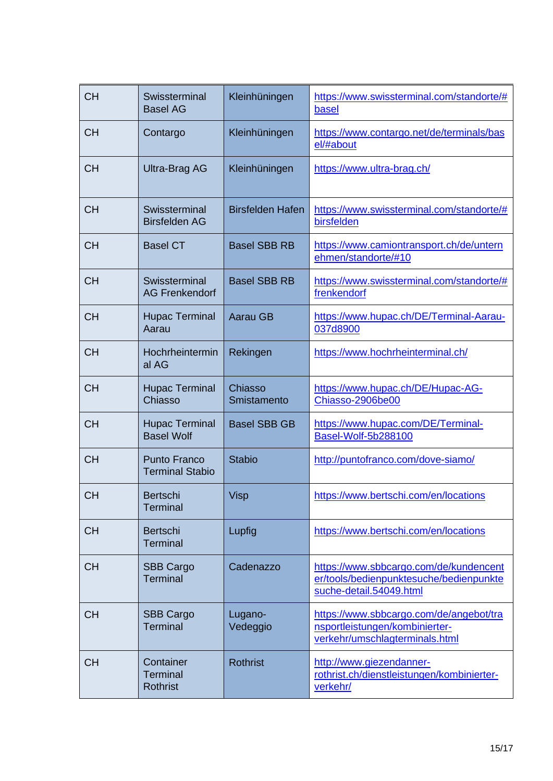| <b>CH</b> | Swissterminal<br><b>Basel AG</b>                | Kleinhüningen           | https://www.swissterminal.com/standorte/#<br>basel                                                           |
|-----------|-------------------------------------------------|-------------------------|--------------------------------------------------------------------------------------------------------------|
| <b>CH</b> | Contargo                                        | Kleinhüningen           | https://www.contargo.net/de/terminals/bas<br>el/#about                                                       |
| <b>CH</b> | <b>Ultra-Brag AG</b>                            | Kleinhüningen           | https://www.ultra-brag.ch/                                                                                   |
| <b>CH</b> | Swissterminal<br><b>Birsfelden AG</b>           | <b>Birsfelden Hafen</b> | https://www.swissterminal.com/standorte/#<br>birsfelden                                                      |
| <b>CH</b> | <b>Basel CT</b>                                 | <b>Basel SBB RB</b>     | https://www.camiontransport.ch/de/untern<br>ehmen/standorte/#10                                              |
| <b>CH</b> | Swissterminal<br><b>AG Frenkendorf</b>          | <b>Basel SBB RB</b>     | https://www.swissterminal.com/standorte/#<br>frenkendorf                                                     |
| <b>CH</b> | <b>Hupac Terminal</b><br>Aarau                  | <b>Aarau GB</b>         | https://www.hupac.ch/DE/Terminal-Aarau-<br>037d8900                                                          |
| <b>CH</b> | Hochrheintermin<br>al AG                        | Rekingen                | https://www.hochrheinterminal.ch/                                                                            |
| <b>CH</b> | <b>Hupac Terminal</b><br>Chiasso                | Chiasso<br>Smistamento  | https://www.hupac.ch/DE/Hupac-AG-<br>Chiasso-2906be00                                                        |
| <b>CH</b> | <b>Hupac Terminal</b><br><b>Basel Wolf</b>      | <b>Basel SBB GB</b>     | https://www.hupac.com/DE/Terminal-<br>Basel-Wolf-5b288100                                                    |
| <b>CH</b> | <b>Punto Franco</b><br><b>Terminal Stabio</b>   | <b>Stabio</b>           | http://puntofranco.com/dove-siamo/                                                                           |
| <b>CH</b> | <b>Bertschi</b><br><b>Terminal</b>              | <b>Visp</b>             | https://www.bertschi.com/en/locations                                                                        |
| <b>CH</b> | <b>Bertschi</b><br><b>Terminal</b>              | Lupfig                  | https://www.bertschi.com/en/locations                                                                        |
| <b>CH</b> | <b>SBB Cargo</b><br><b>Terminal</b>             | Cadenazzo               | https://www.sbbcargo.com/de/kundencent<br>er/tools/bedienpunktesuche/bedienpunkte<br>suche-detail.54049.html |
| <b>CH</b> | <b>SBB Cargo</b><br><b>Terminal</b>             | Lugano-<br>Vedeggio     | https://www.sbbcargo.com/de/angebot/tra<br>nsportleistungen/kombinierter-<br>verkehr/umschlagterminals.html  |
| <b>CH</b> | Container<br><b>Terminal</b><br><b>Rothrist</b> | <b>Rothrist</b>         | http://www.giezendanner-<br>rothrist.ch/dienstleistungen/kombinierter-<br>verkehr/                           |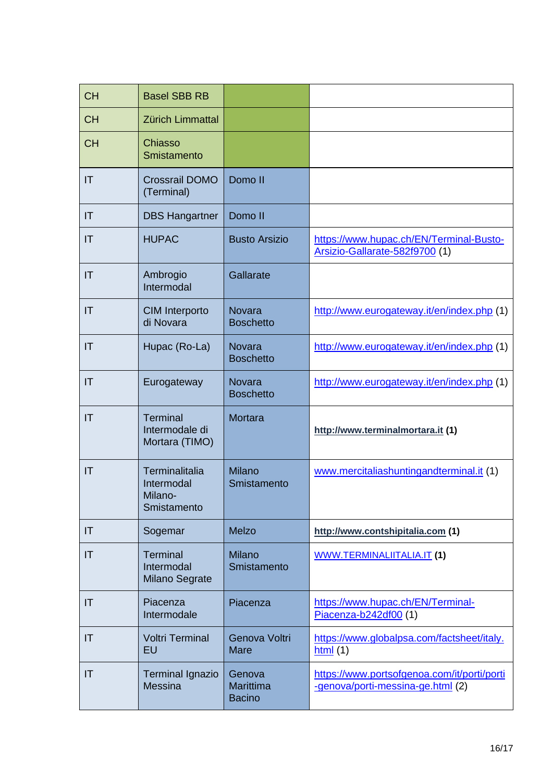| <b>CH</b>              | <b>Basel SBB RB</b>                                    |                                             |                                                                                  |
|------------------------|--------------------------------------------------------|---------------------------------------------|----------------------------------------------------------------------------------|
| <b>CH</b>              | Zürich Limmattal                                       |                                             |                                                                                  |
| <b>CH</b>              | Chiasso<br>Smistamento                                 |                                             |                                                                                  |
| IT                     | <b>Crossrail DOMO</b><br>(Terminal)                    | Domo II                                     |                                                                                  |
| IT                     | <b>DBS Hangartner</b>                                  | Domo II                                     |                                                                                  |
| $\mathsf{I}\mathsf{T}$ | <b>HUPAC</b>                                           | <b>Busto Arsizio</b>                        | https://www.hupac.ch/EN/Terminal-Busto-<br>Arsizio-Gallarate-582f9700 (1)        |
| IT                     | Ambrogio<br>Intermodal                                 | Gallarate                                   |                                                                                  |
| $\mathsf{I}\mathsf{T}$ | <b>CIM Interporto</b><br>di Novara                     | <b>Novara</b><br><b>Boschetto</b>           | http://www.eurogateway.it/en/index.php (1)                                       |
| $\mathsf{I}\mathsf{T}$ | Hupac (Ro-La)                                          | <b>Novara</b><br><b>Boschetto</b>           | http://www.eurogateway.it/en/index.php (1)                                       |
| IT                     | Eurogateway                                            | <b>Novara</b><br><b>Boschetto</b>           | http://www.eurogateway.it/en/index.php (1)                                       |
| IT                     | <b>Terminal</b><br>Intermodale di<br>Mortara (TIMO)    | <b>Mortara</b>                              | http://www.terminalmortara.it (1)                                                |
| $\mathsf{I}\mathsf{T}$ | Terminalitalia<br>Intermodal<br>Milano-<br>Smistamento | <b>Milano</b><br>Smistamento                | www.mercitaliashuntingandterminal.it (1)                                         |
| IT                     | Sogemar                                                | Melzo                                       | http://www.contshipitalia.com (1)                                                |
| IT                     | <b>Terminal</b><br>Intermodal<br>Milano Segrate        | <b>Milano</b><br>Smistamento                | <b>WWW.TERMINALIITALIA.IT (1)</b>                                                |
| IT                     | Piacenza<br>Intermodale                                | Piacenza                                    | https://www.hupac.ch/EN/Terminal-<br>Piacenza-b242df00 (1)                       |
| IT                     | <b>Voltri Terminal</b><br><b>EU</b>                    | Genova Voltri<br><b>Mare</b>                | https://www.globalpsa.com/factsheet/italy.<br>html(1)                            |
| IT                     | <b>Terminal Ignazio</b><br><b>Messina</b>              | Genova<br><b>Marittima</b><br><b>Bacino</b> | https://www.portsofgenoa.com/it/porti/porti<br>-genova/porti-messina-ge.html (2) |